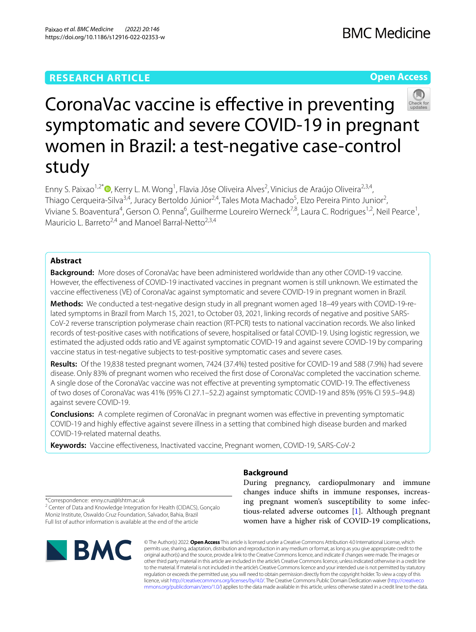# **RESEARCH ARTICLE**

**Open Access**



# CoronaVac vaccine is efective in preventing symptomatic and severe COVID-19 in pregnant women in Brazil: a test-negative case-control study

Enny S. Paixao<sup>1,2[\\*](http://orcid.org/0000-0002-4797-908X)</sup><sup>®</sup>, Kerry L. M. Wong<sup>1</sup>, Flavia Jôse Oliveira Alves<sup>2</sup>, Vinicius de Araújo Oliveira<sup>2,3,4</sup>, Thiago Cerqueira-Silva<sup>3,4</sup>, Juracy Bertoldo Júnior<sup>2,4</sup>, Tales Mota Machado<sup>5</sup>, Elzo Pereira Pinto Junior<sup>2</sup>, Viviane S. Boaventura<sup>4</sup>, Gerson O. Penna<sup>6</sup>, Guilherme Loureiro Werneck<sup>7,8</sup>, Laura C. Rodrigues<sup>1,2</sup>, Neil Pearce<sup>1</sup>, Mauricio L. Barreto<sup>2,4</sup> and Manoel Barral-Netto<sup>2,3,4</sup>

# **Abstract**

**Background:** More doses of CoronaVac have been administered worldwide than any other COVID-19 vaccine. However, the efectiveness of COVID-19 inactivated vaccines in pregnant women is still unknown. We estimated the vaccine efectiveness (VE) of CoronaVac against symptomatic and severe COVID-19 in pregnant women in Brazil.

**Methods:** We conducted a test-negative design study in all pregnant women aged 18–49 years with COVID-19-re‑ lated symptoms in Brazil from March 15, 2021, to October 03, 2021, linking records of negative and positive SARS-CoV-2 reverse transcription polymerase chain reaction (RT-PCR) tests to national vaccination records. We also linked records of test-positive cases with notifcations of severe, hospitalised or fatal COVID-19. Using logistic regression, we estimated the adjusted odds ratio and VE against symptomatic COVID-19 and against severe COVID-19 by comparing vaccine status in test-negative subjects to test-positive symptomatic cases and severe cases.

**Results:** Of the 19,838 tested pregnant women, 7424 (37.4%) tested positive for COVID-19 and 588 (7.9%) had severe disease. Only 83% of pregnant women who received the frst dose of CoronaVac completed the vaccination scheme. A single dose of the CoronaVac vaccine was not efective at preventing symptomatic COVID-19. The efectiveness of two doses of CoronaVac was 41% (95% CI 27.1–52.2) against symptomatic COVID-19 and 85% (95% CI 59.5–94.8) against severe COVID-19.

**Conclusions:** A complete regimen of CoronaVac in pregnant women was efective in preventing symptomatic COVID-19 and highly efective against severe illness in a setting that combined high disease burden and marked COVID-19-related maternal deaths.

**Keywords:** Vaccine efectiveness, Inactivated vaccine, Pregnant women, COVID-19, SARS-CoV-2

\*Correspondence: enny.cruz@lshtm.ac.uk

<sup>2</sup> Center of Data and Knowledge Integration for Health (CIDACS), Gonçalo Moniz Institute, Oswaldo Cruz Foundation, Salvador, Bahia, Brazil Full list of author information is available at the end of the article



# **Background**

During pregnancy, cardiopulmonary and immune changes induce shifts in immune responses, increasing pregnant women's susceptibility to some infectious-related adverse outcomes [[1\]](#page-6-0). Although pregnant women have a higher risk of COVID-19 complications,

© The Author(s) 2022. **Open Access** This article is licensed under a Creative Commons Attribution 4.0 International License, which permits use, sharing, adaptation, distribution and reproduction in any medium or format, as long as you give appropriate credit to the original author(s) and the source, provide a link to the Creative Commons licence, and indicate if changes were made. The images or other third party material in this article are included in the article's Creative Commons licence, unless indicated otherwise in a credit line to the material. If material is not included in the article's Creative Commons licence and your intended use is not permitted by statutory regulation or exceeds the permitted use, you will need to obtain permission directly from the copyright holder. To view a copy of this licence, visit [http://creativecommons.org/licenses/by/4.0/.](http://creativecommons.org/licenses/by/4.0/) The Creative Commons Public Domain Dedication waiver ([http://creativeco](http://creativecommons.org/publicdomain/zero/1.0/) [mmons.org/publicdomain/zero/1.0/](http://creativecommons.org/publicdomain/zero/1.0/)) applies to the data made available in this article, unless otherwise stated in a credit line to the data.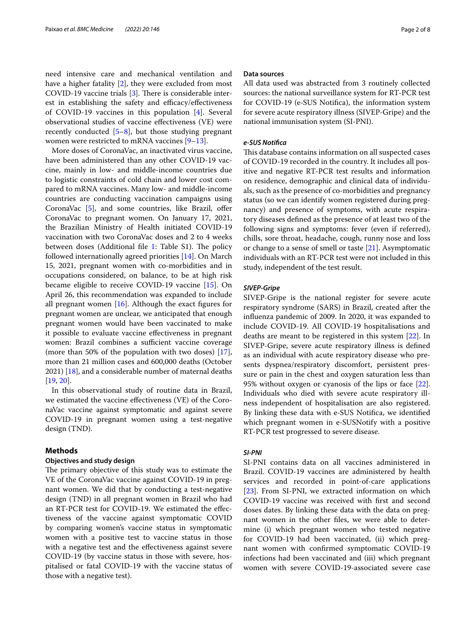need intensive care and mechanical ventilation and have a higher fatality [\[2](#page-6-1)], they were excluded from most COVID-19 vaccine trials  $[3]$  $[3]$ . There is considerable interest in establishing the safety and efficacy/effectiveness of COVID-19 vaccines in this population [[4\]](#page-6-3). Several observational studies of vaccine efectiveness (VE) were recently conducted  $[5-8]$  $[5-8]$ , but those studying pregnant women were restricted to mRNA vaccines [\[9](#page-6-6)[–13](#page-6-7)].

More doses of CoronaVac, an inactivated virus vaccine, have been administered than any other COVID-19 vaccine, mainly in low- and middle-income countries due to logistic constraints of cold chain and lower cost compared to mRNA vaccines. Many low- and middle-income countries are conducting vaccination campaigns using CoronaVac [\[5](#page-6-4)], and some countries, like Brazil, offer CoronaVac to pregnant women. On January 17, 2021, the Brazilian Ministry of Health initiated COVID-19 vaccination with two CoronaVac doses and 2 to 4 weeks between doses (Additional file  $1$ : Table S1). The policy followed internationally agreed priorities [[14\]](#page-6-9). On March 15, 2021, pregnant women with co-morbidities and in occupations considered, on balance, to be at high risk became eligible to receive COVID-19 vaccine [\[15\]](#page-6-10). On April 26, this recommendation was expanded to include all pregnant women  $[16]$  $[16]$ . Although the exact figures for pregnant women are unclear, we anticipated that enough pregnant women would have been vaccinated to make it possible to evaluate vaccine efectiveness in pregnant women: Brazil combines a sufficient vaccine coverage (more than 50% of the population with two doses) [\[17](#page-6-12)], more than 21 million cases and 600,000 deaths (October 2021) [[18\]](#page-6-13), and a considerable number of maternal deaths [[19,](#page-6-14) [20](#page-6-15)].

In this observational study of routine data in Brazil, we estimated the vaccine efectiveness (VE) of the CoronaVac vaccine against symptomatic and against severe COVID-19 in pregnant women using a test-negative design (TND).

# **Methods**

# **Objectives and study design**

The primary objective of this study was to estimate the VE of the CoronaVac vaccine against COVID-19 in pregnant women. We did that by conducting a test-negative design (TND) in all pregnant women in Brazil who had an RT-PCR test for COVID-19. We estimated the efectiveness of the vaccine against symptomatic COVID by comparing women's vaccine status in symptomatic women with a positive test to vaccine status in those with a negative test and the effectiveness against severe COVID-19 (by vaccine status in those with severe, hospitalised or fatal COVID-19 with the vaccine status of those with a negative test).

## **Data sources**

All data used was abstracted from 3 routinely collected sources: the national surveillance system for RT-PCR test for COVID-19 (e-SUS Notifca), the information system for severe acute respiratory illness (SIVEP-Gripe) and the national immunisation system (SI-PNI).

## *e‑SUS Notifca*

This database contains information on all suspected cases of COVID-19 recorded in the country. It includes all positive and negative RT-PCR test results and information on residence, demographic and clinical data of individuals, such as the presence of co-morbidities and pregnancy status (so we can identify women registered during pregnancy) and presence of symptoms, with acute respiratory diseases defned as the presence of at least two of the following signs and symptoms: fever (even if referred), chills, sore throat, headache, cough, runny nose and loss or change to a sense of smell or taste  $[21]$  $[21]$  $[21]$ . Asymptomatic individuals with an RT-PCR test were not included in this study, independent of the test result.

### *SIVEP‑Gripe*

SIVEP-Gripe is the national register for severe acute respiratory syndrome (SARS) in Brazil, created after the infuenza pandemic of 2009. In 2020, it was expanded to include COVID-19. All COVID-19 hospitalisations and deaths are meant to be registered in this system [\[22](#page-7-0)]. In SIVEP-Gripe, severe acute respiratory illness is defned as an individual with acute respiratory disease who presents dyspnea/respiratory discomfort, persistent pressure or pain in the chest and oxygen saturation less than 95% without oxygen or cyanosis of the lips or face [\[22](#page-7-0)]. Individuals who died with severe acute respiratory illness independent of hospitalisation are also registered. By linking these data with e-SUS Notifca, we identifed which pregnant women in e-SUSNotify with a positive RT-PCR test progressed to severe disease.

# *SI‑PNI*

SI-PNI contains data on all vaccines administered in Brazil. COVID-19 vaccines are administered by health services and recorded in point-of-care applications [[23\]](#page-7-1). From SI-PNI, we extracted information on which COVID-19 vaccine was received with frst and second doses dates. By linking these data with the data on pregnant women in the other fles, we were able to determine (i) which pregnant women who tested negative for COVID-19 had been vaccinated, (ii) which pregnant women with confrmed symptomatic COVID-19 infections had been vaccinated and (iii) which pregnant women with severe COVID-19-associated severe case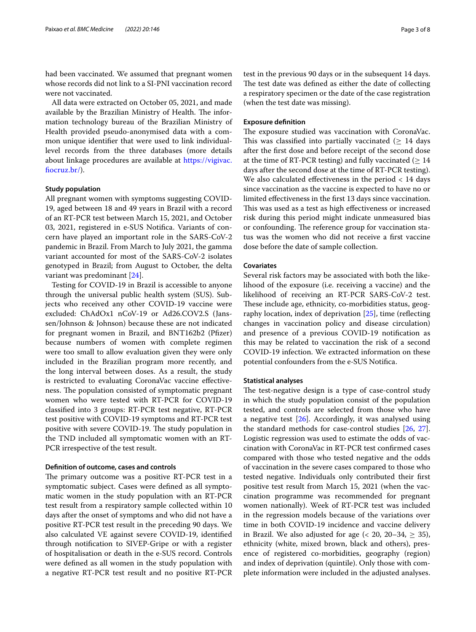had been vaccinated. We assumed that pregnant women whose records did not link to a SI-PNI vaccination record were not vaccinated.

All data were extracted on October 05, 2021, and made available by the Brazilian Ministry of Health. The information technology bureau of the Brazilian Ministry of Health provided pseudo-anonymised data with a common unique identifer that were used to link individuallevel records from the three databases (more details about linkage procedures are available at [https://vigivac.](https://vigivac.fiocruz.br/) [focruz.br/\)](https://vigivac.fiocruz.br/).

# **Study population**

All pregnant women with symptoms suggesting COVID-19, aged between 18 and 49 years in Brazil with a record of an RT-PCR test between March 15, 2021, and October 03, 2021, registered in e-SUS Notifca. Variants of concern have played an important role in the SARS-CoV-2 pandemic in Brazil. From March to July 2021, the gamma variant accounted for most of the SARS-CoV-2 isolates genotyped in Brazil; from August to October, the delta variant was predominant [\[24](#page-7-2)].

Testing for COVID-19 in Brazil is accessible to anyone through the universal public health system (SUS). Subjects who received any other COVID-19 vaccine were excluded: ChAdOx1 nCoV-19 or Ad26.COV2.S (Janssen/Johnson & Johnson) because these are not indicated for pregnant women in Brazil, and BNT162b2 (Pfizer) because numbers of women with complete regimen were too small to allow evaluation given they were only included in the Brazilian program more recently, and the long interval between doses. As a result, the study is restricted to evaluating CoronaVac vaccine efectiveness. The population consisted of symptomatic pregnant women who were tested with RT-PCR for COVID-19 classifed into 3 groups: RT-PCR test negative, RT-PCR test positive with COVID-19 symptoms and RT-PCR test positive with severe COVID-19. The study population in the TND included all symptomatic women with an RT-PCR irrespective of the test result.

#### **Defnition of outcome, cases and controls**

The primary outcome was a positive RT-PCR test in a symptomatic subject. Cases were defned as all symptomatic women in the study population with an RT-PCR test result from a respiratory sample collected within 10 days after the onset of symptoms and who did not have a positive RT-PCR test result in the preceding 90 days. We also calculated VE against severe COVID-19, identifed through notifcation to SIVEP-Gripe or with a register of hospitalisation or death in the e-SUS record. Controls were defned as all women in the study population with a negative RT-PCR test result and no positive RT-PCR

test in the previous 90 days or in the subsequent 14 days. The test date was defined as either the date of collecting a respiratory specimen or the date of the case registration (when the test date was missing).

#### **Exposure defnition**

The exposure studied was vaccination with CoronaVac. This was classified into partially vaccinated ( $\geq$  14 days after the frst dose and before receipt of the second dose at the time of RT-PCR testing) and fully vaccinated ( $\geq 14$ days after the second dose at the time of RT-PCR testing). We also calculated effectiveness in the period  $< 14$  days since vaccination as the vaccine is expected to have no or limited efectiveness in the frst 13 days since vaccination. This was used as a test as high effectiveness or increased risk during this period might indicate unmeasured bias or confounding. The reference group for vaccination status was the women who did not receive a frst vaccine dose before the date of sample collection.

#### **Covariates**

Several risk factors may be associated with both the likelihood of the exposure (i.e. receiving a vaccine) and the likelihood of receiving an RT-PCR SARS-CoV-2 test. These include age, ethnicity, co-morbidities status, geog-raphy location, index of deprivation [[25](#page-7-3)], time (reflecting changes in vaccination policy and disease circulation) and presence of a previous COVID-19 notifcation as this may be related to vaccination the risk of a second COVID-19 infection. We extracted information on these potential confounders from the e-SUS Notifca.

# **Statistical analyses**

The test-negative design is a type of case-control study in which the study population consist of the population tested, and controls are selected from those who have a negative test [\[26](#page-7-4)]. Accordingly, it was analysed using the standard methods for case-control studies [\[26](#page-7-4), [27](#page-7-5)]. Logistic regression was used to estimate the odds of vaccination with CoronaVac in RT-PCR test confrmed cases compared with those who tested negative and the odds of vaccination in the severe cases compared to those who tested negative. Individuals only contributed their frst positive test result from March 15, 2021 (when the vaccination programme was recommended for pregnant women nationally). Week of RT-PCR test was included in the regression models because of the variations over time in both COVID-19 incidence and vaccine delivery in Brazil. We also adjusted for age  $($   $20, 20-34, \geq 35)$ , ethnicity (white, mixed brown, black and others), presence of registered co-morbidities, geography (region) and index of deprivation (quintile). Only those with complete information were included in the adjusted analyses.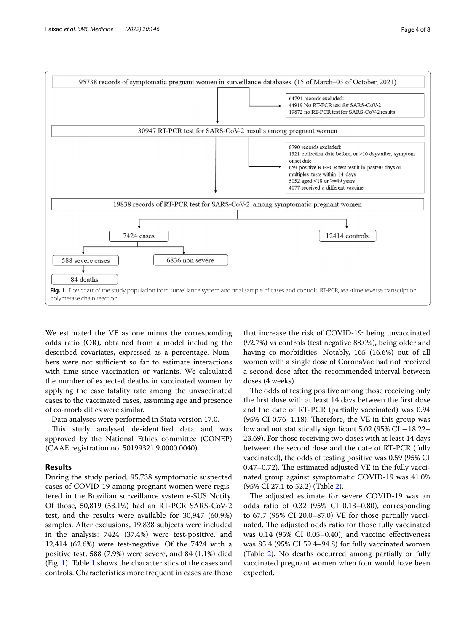

<span id="page-3-0"></span>We estimated the VE as one minus the corresponding odds ratio (OR), obtained from a model including the described covariates, expressed as a percentage. Numbers were not sufficient so far to estimate interactions with time since vaccination or variants. We calculated the number of expected deaths in vaccinated women by applying the case fatality rate among the unvaccinated cases to the vaccinated cases, assuming age and presence of co-morbidities were similar.

Data analyses were performed in Stata version 17.0.

This study analysed de-identified data and was approved by the National Ethics committee (CONEP) (CAAE registration no. 50199321.9.0000.0040).

# **Results**

During the study period, 95,738 symptomatic suspected cases of COVID-19 among pregnant women were registered in the Brazilian surveillance system e-SUS Notify. Of those, 50,819 (53.1%) had an RT-PCR SARS-CoV-2 test, and the results were available for 30,947 (60.9%) samples. After exclusions, 19,838 subjects were included in the analysis: 7424 (37.4%) were test-positive, and 12,414 (62.6%) were test-negative. Of the 7424 with a positive test, 588 (7.9%) were severe, and 84 (1.1%) died (Fig. [1\)](#page-3-0). Table [1](#page-4-0) shows the characteristics of the cases and controls. Characteristics more frequent in cases are those

that increase the risk of COVID-19: being unvaccinated (92.7%) vs controls (test negative 88.0%), being older and having co-morbidities. Notably, 165 (16.6%) out of all women with a single dose of CoronaVac had not received a second dose after the recommended interval between doses (4 weeks).

The odds of testing positive among those receiving only the frst dose with at least 14 days between the frst dose and the date of RT-PCR (partially vaccinated) was 0.94  $(95\% \text{ CI } 0.76-1.18)$ . Therefore, the VE in this group was low and not statistically signifcant 5.02 (95% CI −18.22– 23.69). For those receiving two doses with at least 14 days between the second dose and the date of RT-PCR (fully vaccinated), the odds of testing positive was 0.59 (95% CI  $0.47-0.72$ ). The estimated adjusted VE in the fully vaccinated group against symptomatic COVID-19 was 41.0% (95% CI 27.1 to 52.2) (Table [2\)](#page-5-0).

The adjusted estimate for severe COVID-19 was an odds ratio of 0.32 (95% CI 0.13–0.80), corresponding to 67.7 (95% CI 20.0–87.0) VE for those partially vaccinated. The adjusted odds ratio for those fully vaccinated was 0.14 (95% CI 0.05–0.40), and vaccine efectiveness was 85.4 (95% CI 59.4–94.8) for fully vaccinated women (Table [2](#page-5-0)). No deaths occurred among partially or fully vaccinated pregnant women when four would have been expected.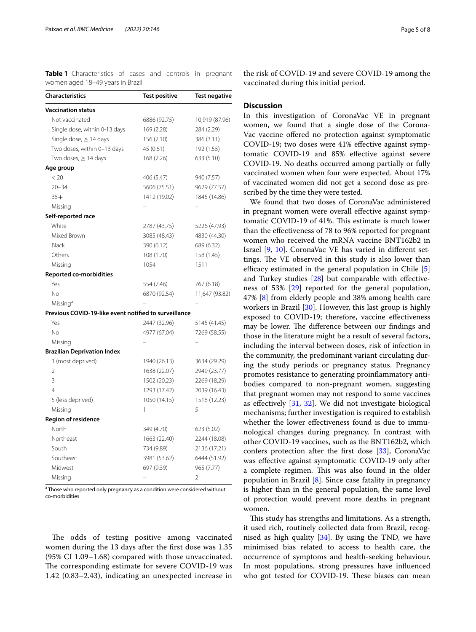<span id="page-4-0"></span>**Table 1** Characteristics of cases and controls in pregnant women aged 18–49 years in Brazil

| <b>Characteristics</b>                                | <b>Test positive</b>         | Test negative  |  |
|-------------------------------------------------------|------------------------------|----------------|--|
| <b>Vaccination status</b>                             |                              |                |  |
| Not vaccinated                                        | 6886 (92.75)                 | 10,919 (87.96) |  |
| Single dose, within 0-13 days                         | 169 (2.28)                   | 284 (2.29)     |  |
| Single dose, $\geq$ 14 days                           | 156 (2.10)                   | 386 (3.11)     |  |
| Two doses, within 0-13 days                           | 45 (0.61)                    | 192 (1.55)     |  |
| Two doses, $\geq$ 14 days                             | 168 (2.26)                   | 633 (5.10)     |  |
| Age group                                             |                              |                |  |
| < 20                                                  | 406 (5.47)                   | 940 (7.57)     |  |
| $20 - 34$                                             | 5606 (75.51)                 | 9629 (77.57)   |  |
| $35+$                                                 | 1412 (19.02)                 | 1845 (14.86)   |  |
| Missing                                               |                              |                |  |
| Self-reported race                                    |                              |                |  |
| White                                                 | 2787 (43.75)                 | 5226 (47.93)   |  |
| Mixed Brown                                           | 3085 (48.43)                 | 4830 (44.30)   |  |
| Black                                                 | 390 (6.12)                   | 689 (6.32)     |  |
| Others                                                | 108 (1.70)                   | 158 (1.45)     |  |
| Missing                                               | 1054                         | 1511           |  |
| <b>Reported co-morbidities</b>                        |                              |                |  |
| Yes                                                   | 554 (7.46)                   | 767 (6.18)     |  |
| No                                                    | 6870 (92.54)                 | 11,647 (93.82) |  |
| Missing <sup>a</sup>                                  |                              |                |  |
| Previous COVID-19-like event notified to surveillance |                              |                |  |
| Yes                                                   | 2447 (32.96)                 | 5145 (41.45)   |  |
| No                                                    | 4977 (67.04)                 | 7269 (58.55)   |  |
| Missing                                               |                              |                |  |
| <b>Brazilian Deprivation Index</b>                    |                              |                |  |
| 1 (most deprived)                                     | 1940 (26.13)                 | 3634 (29.29)   |  |
| $\overline{2}$                                        | 1638 (22.07)                 | 2949 (23.77)   |  |
| 3                                                     | 1502 (20.23)                 | 2269 (18.29)   |  |
| 4                                                     | 1293 (17.42)                 | 2039 (16.43)   |  |
| 5 (less deprived)                                     | 1050 (14.15)                 | 1518 (12.23)   |  |
| Missing                                               | 1                            | 5              |  |
| <b>Region of residence</b>                            |                              |                |  |
| North                                                 | 349 (4.70)                   | 623 (5.02)     |  |
| Northeast                                             | 1663 (22.40)<br>2244 (18.08) |                |  |
| South                                                 | 734 (9.89)                   | 2136 (17.21)   |  |
| Southeast                                             | 3981 (53.62)                 | 6444 (51.92)   |  |
| Midwest                                               | 697 (9.39)                   | 965 (7.77)     |  |
| Missing                                               |                              | 2              |  |

<sup>a</sup> Those who reported only pregnancy as a condition were considered without co-morbidities

The odds of testing positive among vaccinated women during the 13 days after the frst dose was 1.35 (95% CI 1.09–1.68) compared with those unvaccinated. The corresponding estimate for severe COVID-19 was 1.42 (0.83–2.43), indicating an unexpected increase in

the risk of COVID-19 and severe COVID-19 among the vaccinated during this initial period.

# **Discussion**

In this investigation of CoronaVac VE in pregnant women, we found that a single dose of the Corona-Vac vaccine ofered no protection against symptomatic COVID-19; two doses were 41% efective against symptomatic COVID-19 and 85% efective against severe COVID-19. No deaths occurred among partially or fully vaccinated women when four were expected. About 17% of vaccinated women did not get a second dose as prescribed by the time they were tested.

We found that two doses of CoronaVac administered in pregnant women were overall efective against symptomatic COVID-19 of 41%. This estimate is much lower than the efectiveness of 78 to 96% reported for pregnant women who received the mRNA vaccine BNT162b2 in Israel [[9,](#page-6-6) [10](#page-6-17)]. CoronaVac VE has varied in diferent settings. The VE observed in this study is also lower than efficacy estimated in the general population in Chile  $[5]$  $[5]$ and Turkey studies  $[28]$  $[28]$  but comparable with effectiveness of 53% [[29](#page-7-7)] reported for the general population, 47% [[8\]](#page-6-5) from elderly people and 38% among health care workers in Brazil [[30](#page-7-8)]. However, this last group is highly exposed to COVID-19; therefore, vaccine efectiveness may be lower. The difference between our findings and those in the literature might be a result of several factors, including the interval between doses, risk of infection in the community, the predominant variant circulating during the study periods or pregnancy status. Pregnancy promotes resistance to generating proinfammatory antibodies compared to non-pregnant women, suggesting that pregnant women may not respond to some vaccines as efectively [[31,](#page-7-9) [32](#page-7-10)]. We did not investigate biological mechanisms; further investigation is required to establish whether the lower efectiveness found is due to immunological changes during pregnancy. In contrast with other COVID-19 vaccines, such as the BNT162b2, which confers protection after the frst dose [\[33\]](#page-7-11), CoronaVac was efective against symptomatic COVID-19 only after a complete regimen. This was also found in the older population in Brazil  $[8]$ . Since case fatality in pregnancy is higher than in the general population, the same level of protection would prevent more deaths in pregnant women.

This study has strengths and limitations. As a strength, it used rich, routinely collected data from Brazil, recognised as high quality  $[34]$  $[34]$ . By using the TND, we have minimised bias related to access to health care, the occurrence of symptoms and health-seeking behaviour. In most populations, strong pressures have infuenced who got tested for COVID-19. These biases can mean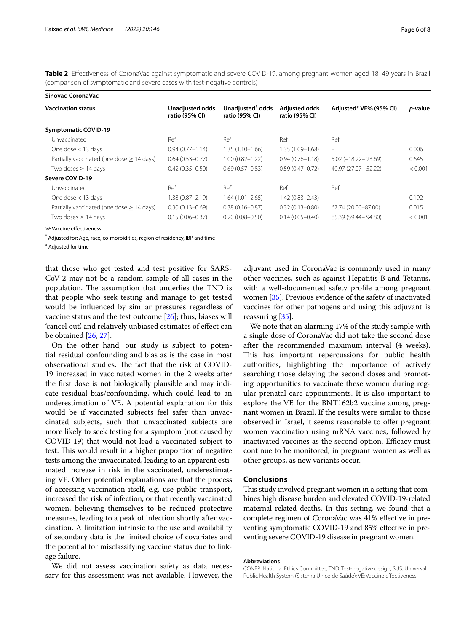<span id="page-5-0"></span>**Table 2** Efectiveness of CoronaVac against symptomatic and severe COVID-19, among pregnant women aged 18–49 years in Brazil (comparison of symptomatic and severe cases with test-negative controls)

| Sinovac-CoronaVac                           |                                   |                                                |                                        |                             |                 |  |  |
|---------------------------------------------|-----------------------------------|------------------------------------------------|----------------------------------------|-----------------------------|-----------------|--|--|
| <b>Vaccination status</b>                   | Unadjusted odds<br>ratio (95% CI) | Unadjusted <sup>#</sup> odds<br>ratio (95% CI) | <b>Adjusted odds</b><br>ratio (95% CI) | Adjusted* VE% (95% CI)      | <i>p</i> -value |  |  |
| <b>Symptomatic COVID-19</b>                 |                                   |                                                |                                        |                             |                 |  |  |
| Unvaccinated                                | Ref                               | Ref                                            | Ref                                    | Ref                         |                 |  |  |
| One dose $<$ 13 days                        | $0.94(0.77 - 1.14)$               | $1.35(1.10 - 1.66)$                            | $1.35(1.09 - 1.68)$                    | $\overline{\phantom{m}}$    | 0.006           |  |  |
| Partially vaccinated (one dose $> 14$ days) | $0.64(0.53 - 0.77)$               | $1.00(0.82 - 1.22)$                            | $0.94(0.76 - 1.18)$                    | $5.02$ ( $-18.22 - 23.69$ ) | 0.645           |  |  |
| Two doses $> 14$ days                       | $0.42(0.35 - 0.50)$               | $0.69(0.57 - 0.83)$                            | $0.59(0.47 - 0.72)$                    | 40.97 (27.07 - 52.22)       | < 0.001         |  |  |
| Severe COVID-19                             |                                   |                                                |                                        |                             |                 |  |  |
| Unvaccinated                                | Ref                               | Ref                                            | Ref                                    | Ref                         |                 |  |  |
| One dose $<$ 13 days                        | $1.38(0.87 - 2.19)$               | $1.64(1.01 - 2.65)$                            | $1.42(0.83 - 2.43)$                    | $\overline{\phantom{m}}$    | 0.192           |  |  |
| Partially vaccinated (one dose $> 14$ days) | $0.30(0.13 - 0.69)$               | $0.38(0.16 - 0.87)$                            | $0.32(0.13 - 0.80)$                    | 67.74 (20.00-87.00)         | 0.015           |  |  |
| Two doses $\geq$ 14 days                    | $0.15(0.06 - 0.37)$               | $0.20(0.08 - 0.50)$                            | $0.14(0.05 - 0.40)$                    | 85.39 (59.44 - 94.80)       | < 0.001         |  |  |

*VE* Vaccine efectiveness

\* Adjusted for: Age, race, co-morbidities, region of residency, IBP and time

# Adjusted for time

that those who get tested and test positive for SARS-CoV-2 may not be a random sample of all cases in the population. The assumption that underlies the TND is that people who seek testing and manage to get tested would be infuenced by similar pressures regardless of vaccine status and the test outcome [\[26](#page-7-4)]; thus, biases will 'cancel out', and relatively unbiased estimates of efect can be obtained [\[26](#page-7-4), [27](#page-7-5)].

On the other hand, our study is subject to potential residual confounding and bias as is the case in most observational studies. The fact that the risk of COVID-19 increased in vaccinated women in the 2 weeks after the frst dose is not biologically plausible and may indicate residual bias/confounding, which could lead to an underestimation of VE. A potential explanation for this would be if vaccinated subjects feel safer than unvaccinated subjects, such that unvaccinated subjects are more likely to seek testing for a symptom (not caused by COVID-19) that would not lead a vaccinated subject to test. This would result in a higher proportion of negative tests among the unvaccinated, leading to an apparent estimated increase in risk in the vaccinated, underestimating VE. Other potential explanations are that the process of accessing vaccination itself, e.g. use public transport, increased the risk of infection, or that recently vaccinated women, believing themselves to be reduced protective measures, leading to a peak of infection shortly after vaccination. A limitation intrinsic to the use and availability of secondary data is the limited choice of covariates and the potential for misclassifying vaccine status due to linkage failure.

We did not assess vaccination safety as data necessary for this assessment was not available. However, the

adjuvant used in CoronaVac is commonly used in many other vaccines, such as against Hepatitis B and Tetanus, with a well-documented safety profle among pregnant women [\[35\]](#page-7-13). Previous evidence of the safety of inactivated vaccines for other pathogens and using this adjuvant is reassuring [\[35\]](#page-7-13).

We note that an alarming 17% of the study sample with a single dose of CoronaVac did not take the second dose after the recommended maximum interval (4 weeks). This has important repercussions for public health authorities, highlighting the importance of actively searching those delaying the second doses and promoting opportunities to vaccinate these women during regular prenatal care appointments. It is also important to explore the VE for the BNT162b2 vaccine among pregnant women in Brazil. If the results were similar to those observed in Israel, it seems reasonable to offer pregnant women vaccination using mRNA vaccines, followed by inactivated vaccines as the second option. Efficacy must continue to be monitored, in pregnant women as well as other groups, as new variants occur.

# **Conclusions**

This study involved pregnant women in a setting that combines high disease burden and elevated COVID-19-related maternal related deaths. In this setting, we found that a complete regimen of CoronaVac was 41% efective in preventing symptomatic COVID-19 and 85% efective in preventing severe COVID-19 disease in pregnant women.

#### **Abbreviations**

CONEP: National Ethics Committee; TND: Test-negative design; SUS: Universal Public Health System (Sistema Único de Saúde); VE: Vaccine efectiveness.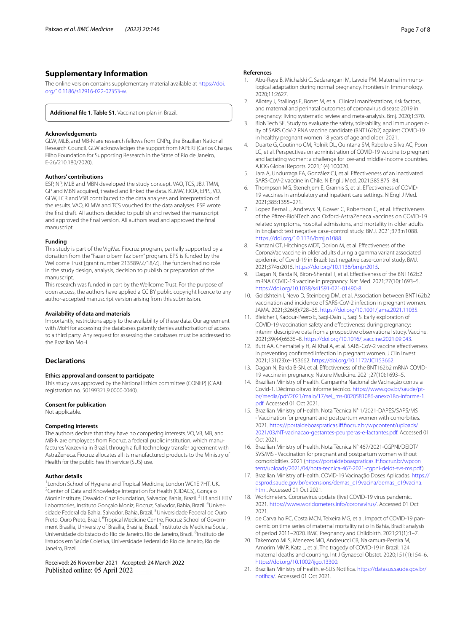# **Supplementary Information**

The online version contains supplementary material available at [https://doi.](https://doi.org/10.1186/s12916-022-02353-w) [org/10.1186/s12916-022-02353-w.](https://doi.org/10.1186/s12916-022-02353-w)

<span id="page-6-8"></span>**Additional fle 1. Table S1.** Vaccination plan in Brazil.

#### **Acknowledgements**

GLW, MLB, and MB-N are research fellows from CNPq, the Brazilian National Research Council. GLW acknowledges the support from FAPERJ (Carlos Chagas Filho Foundation for Supporting Research in the State of Rio de Janeiro, E-26/210.180/2020).

#### **Authors' contributions**

ESP, NP, MLB and MBN developed the study concept. VAO, TCS, JBJ, TMM, GP and MBN acquired, treated and linked the data. KLMW, FJOA, EPPJ, VO, GLW, LCR and VSB contributed to the data analyses and interpretation of the results. VAO, KLMW and TCS vouched for the data analyses. ESP wrote the frst draft. All authors decided to publish and revised the manuscript and approved the fnal version. All authors read and approved the fnal manuscript.

#### **Funding**

This study is part of the VigiVac Fiocruz program, partially supported by a donation from the "Fazer o bem faz bem" program. EPS is funded by the Wellcome Trust [grant number 213589/Z/18/Z]. The funders had no role in the study design, analysis, decision to publish or preparation of the manuscript.

This research was funded in part by the Wellcome Trust. For the purpose of open access, the authors have applied a CC BY public copyright licence to any author-accepted manuscript version arising from this submission.

#### **Availability of data and materials**

Importantly, restrictions apply to the availability of these data. Our agreement with MoH for accessing the databases patently denies authorisation of access to a third party. Any request for assessing the databases must be addressed to the Brazilian MoH.

# **Declarations**

#### **Ethics approval and consent to participate**

This study was approved by the National Ethics committee (CONEP) (CAAE registration no. 50199321.9.0000.0040).

#### **Consent for publication**

Not applicable.

#### **Competing interests**

The authors declare that they have no competing interests. VO, VB, MB, and MB-N are employees from Fiocruz, a federal public institution, which manufactures Vaxzevria in Brazil, through a full technology transfer agreement with AstraZeneca. Fiocruz allocates all its manufactured products to the Ministry of Health for the public health service (SUS) use.

#### **Author details**

<sup>1</sup> London School of Hygiene and Tropical Medicine, London WC1E 7HT, UK.<br><sup>2</sup>Center of Data and Knowledge Integration for Health (CIDACS). Goncalo <sup>2</sup> Center of Data and Knowledge Integration for Health (CIDACS), Gonçalo Moniz Institute, Oswaldo Cruz Foundation, Salvador, Bahia, Brazil. <sup>3</sup>LIB and LEITV Laboratories, Instituto Gonçalo Moniz, Fiocruz, Salvador, Bahia, Brazil. <sup>4</sup>Universidade Federal da Bahia, Salvador, Bahia, Brazil. <sup>5</sup>Universidade Federal de Ouro Preto, Ouro Preto, Brazil. <sup>6</sup>Tropical Medicine Centre, Fiocruz School of Government Brasília, University of Brasília, Brasília, Brazil. <sup>7</sup>Instituto de Medicina Social, Universidade do Estado do Rio de Janeiro, Rio de Janeiro, Brazil. <sup>8</sup>Instituto de Estudos em Saúde Coletiva, Universidade Federal do Rio de Janeiro, Rio de Janeiro, Brazil.

#### Received: 26 November 2021 Accepted: 24 March 2022 Published online: 05 April 2022

#### **References**

- <span id="page-6-0"></span>Abu-Raya B, Michalski C, Sadarangani M, Lavoie PM. Maternal immunological adaptation during normal pregnancy. Frontiers in Immunology. 2020;11:2627.
- <span id="page-6-1"></span>2. Allotey J, Stallings E, Bonet M, et al. Clinical manifestations, risk factors, and maternal and perinatal outcomes of coronavirus disease 2019 in pregnancy: living systematic review and meta-analysis. Bmj. 2020;1:370.
- <span id="page-6-2"></span>3. BioNTech SE. Study to evaluate the safety, tolerability, and immunogenicity of SARS CoV-2 RNA vaccine candidate (BNT162b2) against COVID-19 in healthy pregnant women 18 years of age and older; 2021.
- <span id="page-6-3"></span>4. Duarte G, Coutinho CM, Rolnik DL, Quintana SM, Rabelo e Silva AC, Poon LC, et al. Perspectives on administration of COVID-19 vaccine to pregnant and lactating women: a challenge for low-and middle-income countries. AJOG Global Reports. 2021;1(4):100020.
- <span id="page-6-4"></span>5. Jara A, Undurraga EA, González CJ, et al. Efectiveness of an inactivated SARS-CoV-2 vaccine in Chile. N Engl J Med. 2021;385:875–84.
- 6. Thompson MG, Stenehjem E, Grannis S, et al. Efectiveness of COVID-19 vaccines in ambulatory and inpatient care settings. N Engl J Med. 2021;385:1355–271.
- 7. Lopez Bernal J, Andrews N, Gower C, Robertson C, et al. Efectiveness of the Pfzer-BioNTech and Oxford-AstraZeneca vaccines on COVID-19 related symptoms, hospital admissions, and mortality in older adults in England: test negative case-control study. BMJ. 2021;373:n1088. <https://doi.org/10.1136/bmj.n1088>.
- <span id="page-6-5"></span>8. Ranzani OT, Hitchings MDT, Dorion M, et al. Efectiveness of the CoronaVac vaccine in older adults during a gamma variant associated epidemic of Covid-19 in Brazil: test negative case-control study. BMJ. 2021;374:n2015. <https://doi.org/10.1136/bmj.n2015>.
- <span id="page-6-6"></span>Dagan N, Barda N, Biron-Shental T, et al. Effectiveness of the BNT162b2 mRNA COVID-19 vaccine in pregnancy. Nat Med. 2021;27(10):1693–5. <https://doi.org/10.1038/s41591-021-01490-8>.
- <span id="page-6-17"></span>10. Goldshtein I, Nevo D, Steinberg DM, et al. Association between BNT162b2 vaccination and incidence of SARS-CoV-2 infection in pregnant women. JAMA. 2021;326(8):728–35. [https://doi.org/10.1001/jama.2021.11035.](https://doi.org/10.1001/jama.2021.11035)
- 11. Bleicher I, Kadour-Peero E, Sagi-Dain L, Sagi S. Early exploration of COVID-19 vaccination safety and efectiveness during pregnancy: interim descriptive data from a prospective observational study. Vaccine. 2021;39(44):6535–8. [https://doi.org/10.1016/j.vaccine.2021.09.043.](https://doi.org/10.1016/j.vaccine.2021.09.043)
- 12. Butt AA, Chemaitelly H, Al Khal A, et al. SARS-CoV-2 vaccine efectiveness in preventing confrmed infection in pregnant women. J Clin Invest. 2021;131(23):e-153662.<https://doi.org/10.1172/JCI153662>.
- <span id="page-6-7"></span>13. Dagan N, Barda B-SN, et al. Efectiveness of the BNT162b2 mRNA COVID-19 vaccine in pregnancy. Nature Medicine. 2021;27(10):1693–5.
- <span id="page-6-9"></span>14. Brazilian Ministry of Health. Campanha Nacional de Vacinação contra a Covid-1. Décimo oitavo informe técnico. [https://www.gov.br/saude/pt](https://www.gov.br/saude/pt-br/media/pdf/2021/maio/17/sei_ms-0020581086-anexo18o-informe-1.pdf) [br/media/pdf/2021/maio/17/sei\\_ms-0020581086-anexo18o-informe-1.](https://www.gov.br/saude/pt-br/media/pdf/2021/maio/17/sei_ms-0020581086-anexo18o-informe-1.pdf) [pdf.](https://www.gov.br/saude/pt-br/media/pdf/2021/maio/17/sei_ms-0020581086-anexo18o-informe-1.pdf) Accessed 01 Oct 2021.
- <span id="page-6-10"></span>15. Brazilian Ministry of Health. Nota Técnica N° 1/2021-DAPES/SAPS/MS - Vaccination for pregnant and postpartum women with comorbities. 2021. [https://portaldeboaspraticas.if.focruz.br/wpcontent/uploads/](https://portaldeboaspraticas.iff.fiocruz.br/wpcontent/uploads/2021/03/NT-vacinacao-gestantes-peurperas-e-lactantes.pdf) [2021/03/NT-vacinacao-gestantes-peurperas-e-lactantes.pdf](https://portaldeboaspraticas.iff.fiocruz.br/wpcontent/uploads/2021/03/NT-vacinacao-gestantes-peurperas-e-lactantes.pdf). Accessed 01 Oct 2021.
- <span id="page-6-11"></span>16. Brazilian Ministry of Health. Nota Técnica N° 467/2021-CGPNI/DEIDT/ SVS/MS - Vaccination for pregnant and postpartum women without comorbidities. 2021 (https://portaldeboaspraticas.iff.fiocruz.br/wpcon [tent/uploads/2021/04/nota-tecnica-467-2021-cgpni-deidt-svs-ms.pdf](https://portaldeboaspraticas.iff.fiocruz.br/wpcontent/uploads/2021/04/nota-tecnica-467-2021-cgpni-deidt-svs-ms.pdf))
- <span id="page-6-12"></span>17. Brazilian Ministry of Health. COVID-19 Vacinação Doses Aplicadas. [https://](https://qsprod.saude.gov.br/extensions/demas_c19vacina/demas_c19vacina.html) [qsprod.saude.gov.br/extensions/demas\\_c19vacina/demas\\_c19vacina.](https://qsprod.saude.gov.br/extensions/demas_c19vacina/demas_c19vacina.html) [html.](https://qsprod.saude.gov.br/extensions/demas_c19vacina/demas_c19vacina.html) Accessed 01 Oct 2021.
- <span id="page-6-13"></span>18. Worldmeters. Coronavirus update (live) COVID-19 virus pandemic. 2021. [https://www.worldometers.info/coronavirus/.](https://www.worldometers.info/coronavirus/) Accessed 01 Oct 2021.
- <span id="page-6-14"></span>19. de Carvalho RC, Costa MCN, Teixeira MG, et al. Impact of COVID-19 pandemic on time series of maternal mortality ratio in Bahia, Brazil: analysis of period 2011–2020. BMC Pregnancy and Childbirth. 2021;21(1):1–7.
- <span id="page-6-15"></span>20. Takemoto MLS, Menezes MO, Andreucci CB, Nakamura-Pereira M, Amorim MMR, Katz L, et al. The tragedy of COVID-19 in Brazil: 124 maternal deaths and counting. Int J Gynaecol Obstet. 2020;151(1):154–6. <https://doi.org/10.1002/ijgo.13300>.
- <span id="page-6-16"></span>21. Brazilian Ministry of Health. e-SUS Notifca. [https://datasus.saude.gov.br/](https://datasus.saude.gov.br/notifica/) [notifica/.](https://datasus.saude.gov.br/notifica/) Accessed 01 Oct 2021.